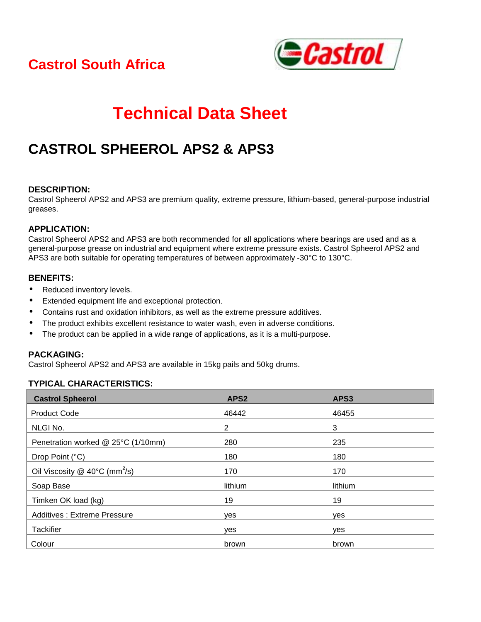## **Castrol South Africa**



# **Technical Data Sheet**

## **CASTROL SPHEEROL APS2 & APS3**

#### **DESCRIPTION:**

Castrol Spheerol APS2 and APS3 are premium quality, extreme pressure, lithium-based, general-purpose industrial greases.

### **APPLICATION:**

Castrol Spheerol APS2 and APS3 are both recommended for all applications where bearings are used and as a general-purpose grease on industrial and equipment where extreme pressure exists. Castrol Spheerol APS2 and APS3 are both suitable for operating temperatures of between approximately -30°C to 130°C.

#### **BENEFITS:**

- Reduced inventory levels.
- Extended equipment life and exceptional protection.
- Contains rust and oxidation inhibitors, as well as the extreme pressure additives.
- The product exhibits excellent resistance to water wash, even in adverse conditions.
- The product can be applied in a wide range of applications, as it is a multi-purpose.

#### **PACKAGING:**

Castrol Spheerol APS2 and APS3 are available in 15kg pails and 50kg drums.

### **TYPICAL CHARACTERISTICS:**

| <b>Castrol Spheerol</b>                   | APS <sub>2</sub> | APS3       |
|-------------------------------------------|------------------|------------|
| <b>Product Code</b>                       | 46442            | 46455      |
| NLGI No.                                  | 2                | 3          |
| Penetration worked @ 25°C (1/10mm)        | 280              | 235        |
| Drop Point (°C)                           | 180              | 180        |
| Oil Viscosity @ 40°C (mm <sup>2</sup> /s) | 170              | 170        |
| Soap Base                                 | lithium          | lithium    |
| Timken OK load (kg)                       | 19               | 19         |
| <b>Additives: Extreme Pressure</b>        | yes              | yes        |
| Tackifier                                 | ves              | <b>ves</b> |
| Colour                                    | brown            | brown      |